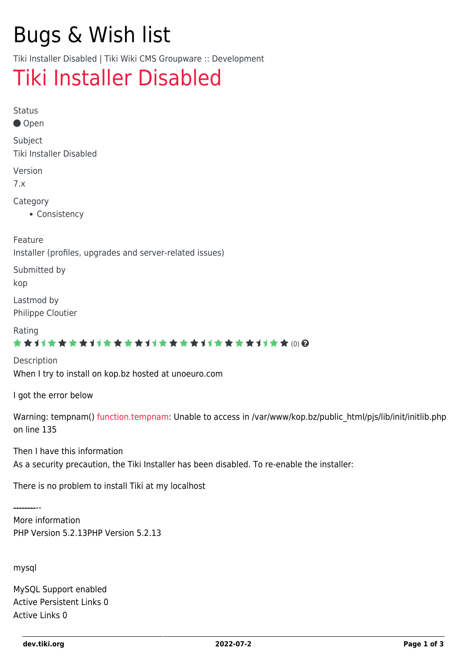# Bugs & Wish list

Tiki Installer Disabled | Tiki Wiki CMS Groupware :: Development

## [Tiki Installer Disabled](https://dev.tiki.org/item3801-Tiki-Installer-Disabled)

Status

● Open

Subject Tiki Installer Disabled

Version

7.x

Category

• Consistency

Feature

Installer (profiles, upgrades and server-related issues)

Submitted by

kop

Lastmod by Philippe Cloutier

#### Rating

#### ★★11★★★★11★★★★11★★★★11★★★★11★★ @@

Description When I try to install on kop.bz hosted at unoeuro.com

I got the error below

Warning: tempnam() [function.tempnam](https://dev.tiki.org/function.tempnam): Unable to access in /var/www/kop.bz/public\_html/pjs/lib/init/initlib.php on line 135

Then I have this information As a security precaution, the Tiki Installer has been disabled. To re-enable the installer:

There is no problem to install Tiki at my localhost

---------- More information PHP Version 5.2.13PHP Version 5.2.13

mysql

MySQL Support enabled Active Persistent Links 0 Active Links 0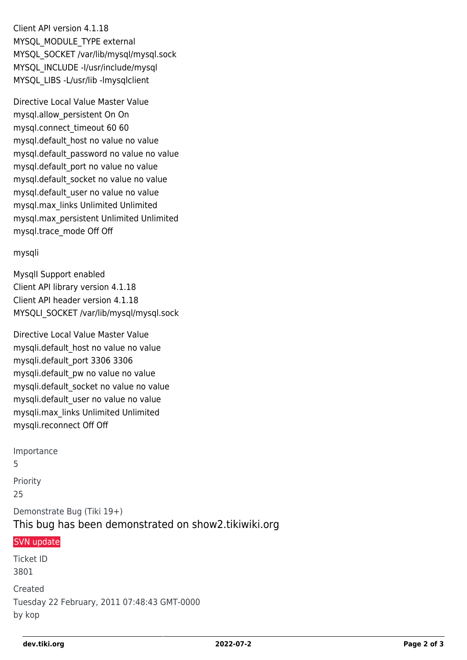Client API version 4.1.18 MYSQL\_MODULE\_TYPE external MYSQL\_SOCKET /var/lib/mysql/mysql.sock MYSQL\_INCLUDE -I/usr/include/mysql MYSQL\_LIBS -L/usr/lib -lmysqlclient

Directive Local Value Master Value mysql.allow\_persistent On On mysql.connect\_timeout 60 60 mysql.default\_host no value no value mysql.default\_password no value no value mysql.default\_port no value no value mysql.default\_socket no value no value mysql.default\_user no value no value mysql.max\_links Unlimited Unlimited mysql.max\_persistent Unlimited Unlimited mysql.trace\_mode Off Off

#### mysqli

MysqlI Support enabled Client API library version 4.1.18 Client API header version 4.1.18 MYSQLI\_SOCKET /var/lib/mysql/mysql.sock

Directive Local Value Master Value mysqli.default\_host no value no value mysqli.default\_port 3306 3306 mysqli.default\_pw no value no value mysqli.default\_socket no value no value mysqli.default\_user no value no value mysqli.max\_links Unlimited Unlimited mysqli.reconnect Off Off

Importance 5 Priority 25 Demonstrate Bug (Tiki 19+) This bug has been demonstrated on show2.tikiwiki.org [SVN update](#page--1-0) Ticket ID

3801 Created Tuesday 22 February, 2011 07:48:43 GMT-0000 by kop